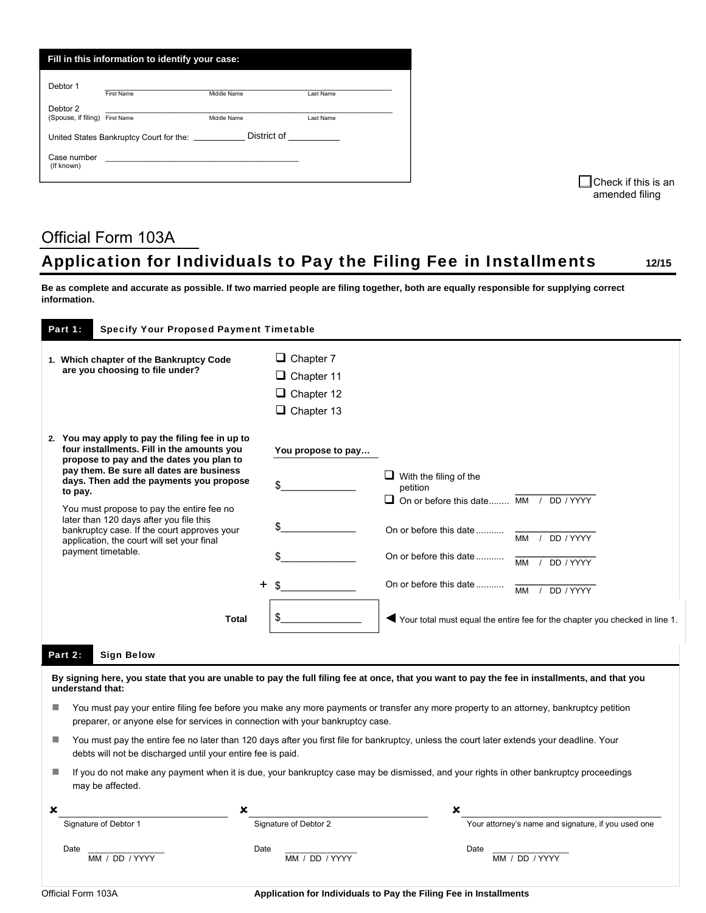| Fill in this information to identify your case: |                                                 |                                                                                                                                                                                                                               |           |  |  |
|-------------------------------------------------|-------------------------------------------------|-------------------------------------------------------------------------------------------------------------------------------------------------------------------------------------------------------------------------------|-----------|--|--|
| Debtor 1                                        | First Name                                      | Middle Name                                                                                                                                                                                                                   | Last Name |  |  |
| Debtor 2<br>(Spouse, if filing)                 | First Name                                      | Middle Name                                                                                                                                                                                                                   | Last Name |  |  |
|                                                 | United States Bankruptcy Court for the: _______ | District of the control of the control of the control of the control of the control of the control of the control of the control of the control of the control of the control of the control of the control of the control of |           |  |  |
| Case number<br>(If known)                       |                                                 |                                                                                                                                                                                                                               |           |  |  |
|                                                 |                                                 |                                                                                                                                                                                                                               |           |  |  |

 $\Box$  Check if this is an amended filing

## Official Form 103A Application for Individuals to Pay the Filing Fee in Installments 12/15

**Be as complete and accurate as possible. If two married people are filing together, both are equally responsible for supplying correct information.** 

|    | Part 1:<br><b>Specify Your Proposed Payment Timetable</b>                                                                                                                                                                                                                                                                                                                                                                                                   |                                                                                 |                                                                                                                                                                            |                                                                                         |  |
|----|-------------------------------------------------------------------------------------------------------------------------------------------------------------------------------------------------------------------------------------------------------------------------------------------------------------------------------------------------------------------------------------------------------------------------------------------------------------|---------------------------------------------------------------------------------|----------------------------------------------------------------------------------------------------------------------------------------------------------------------------|-----------------------------------------------------------------------------------------|--|
|    | 1. Which chapter of the Bankruptcy Code<br>are you choosing to file under?                                                                                                                                                                                                                                                                                                                                                                                  | $\Box$ Chapter 7<br>$\Box$ Chapter 11<br>$\Box$ Chapter 12<br>$\Box$ Chapter 13 |                                                                                                                                                                            |                                                                                         |  |
|    | 2. You may apply to pay the filing fee in up to<br>four installments. Fill in the amounts you<br>propose to pay and the dates you plan to<br>pay them. Be sure all dates are business<br>days. Then add the payments you propose<br>to pay.<br>You must propose to pay the entire fee no<br>later than 120 days after you file this<br>bankruptcy case. If the court approves your<br>application, the court will set your final<br>payment timetable.<br>┿ | You propose to pay<br>\$                                                        | $\Box$ With the filing of the<br>petition<br>$\Box$ On or before this date $\overline{MM}$ /<br>On or before this date<br>On or before this date<br>On or before this date | DD / YYYY<br>DD / YYYY<br><b>MM</b><br>DD / YYYY<br><b>MM</b><br><b>MM</b><br>DD / YYYY |  |
|    | <b>Total</b>                                                                                                                                                                                                                                                                                                                                                                                                                                                | \$                                                                              |                                                                                                                                                                            | Your total must equal the entire fee for the chapter you checked in line 1.             |  |
|    | <b>Sign Below</b><br>Part 2:                                                                                                                                                                                                                                                                                                                                                                                                                                |                                                                                 |                                                                                                                                                                            |                                                                                         |  |
|    | By signing here, you state that you are unable to pay the full filing fee at once, that you want to pay the fee in installments, and that you<br>understand that:                                                                                                                                                                                                                                                                                           |                                                                                 |                                                                                                                                                                            |                                                                                         |  |
| H. | You must pay your entire filing fee before you make any more payments or transfer any more property to an attorney, bankruptcy petition<br>preparer, or anyone else for services in connection with your bankruptcy case.                                                                                                                                                                                                                                   |                                                                                 |                                                                                                                                                                            |                                                                                         |  |
| H. | You must pay the entire fee no later than 120 days after you first file for bankruptcy, unless the court later extends your deadline. Your<br>debts will not be discharged until your entire fee is paid.                                                                                                                                                                                                                                                   |                                                                                 |                                                                                                                                                                            |                                                                                         |  |
|    | If you do not make any payment when it is due, your bankruptcy case may be dismissed, and your rights in other bankruptcy proceedings<br>H.<br>may be affected.                                                                                                                                                                                                                                                                                             |                                                                                 |                                                                                                                                                                            |                                                                                         |  |
| x  | x                                                                                                                                                                                                                                                                                                                                                                                                                                                           |                                                                                 |                                                                                                                                                                            |                                                                                         |  |
|    | Signature of Debtor 1                                                                                                                                                                                                                                                                                                                                                                                                                                       | Signature of Debtor 2                                                           |                                                                                                                                                                            | Your attorney's name and signature, if you used one                                     |  |
|    | Date<br>Date<br>MM / DD / YYYY                                                                                                                                                                                                                                                                                                                                                                                                                              | MM / DD / YYYY                                                                  | Date                                                                                                                                                                       | MM / DD / YYYY                                                                          |  |